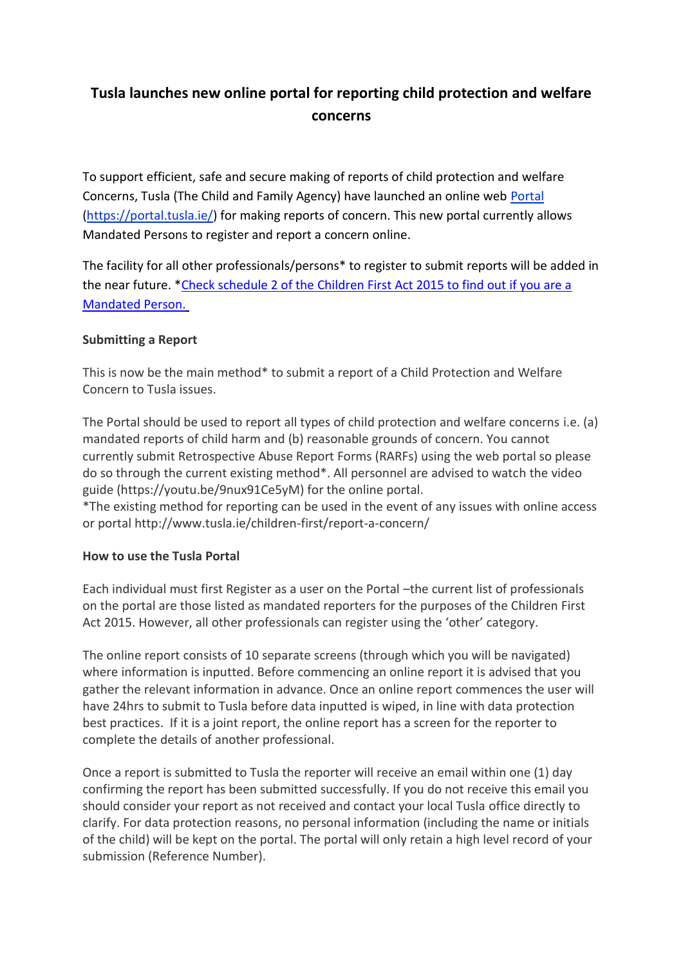## **Tusla launches new online portal for reporting child protection and welfare concerns**

To support efficient, safe and secure making of reports of child protection and welfare Concerns, Tusla (The Child and Family Agency) have launched an online web [Portal](https://scanmail.trustwave.com/?c=6600&d=8pvg2jbdp6Jo86Ni2UEq81ZAWrtjR1rQ6nd0ksmv6g&s=343&u=https%3a%2f%2fportal%2etusla%2eie%2f) [\(https://portal.tusla.ie/\)](https://scanmail.trustwave.com/?c=6600&d=8pvg2jbdp6Jo86Ni2UEq81ZAWrtjR1rQ6nd0ksmv6g&s=343&u=https%3a%2f%2fportal%2etusla%2eie%2f) for making reports of concern. This new portal currently allows Mandated Persons to register and report a concern online.

The facility for all other professionals/persons\* to register to submit reports will be added in the near future. [\\*Check schedule 2 of the Children First Act 2015 to find out if you are a](http://scanmail.trustwave.com/?c=6600&d=8pvg2jbdp6Jo86Ni2UEq81ZAWrtjR1rQ6ndwkpivsQ&s=343&u=http%3a%2f%2fwww%2ehse%2eie%2feng%2fservices%2flist%2f2%2fPrimaryCare%2fchildrenfirst%2fSchedule2%2epdf)  [Mandated Person.](http://scanmail.trustwave.com/?c=6600&d=8pvg2jbdp6Jo86Ni2UEq81ZAWrtjR1rQ6ndwkpivsQ&s=343&u=http%3a%2f%2fwww%2ehse%2eie%2feng%2fservices%2flist%2f2%2fPrimaryCare%2fchildrenfirst%2fSchedule2%2epdf)

## **Submitting a Report**

This is now be the main method\* to submit a report of a Child Protection and Welfare Concern to Tusla issues.

The Portal should be used to report all types of child protection and welfare concerns i.e. (a) mandated reports of child harm and (b) reasonable grounds of concern. You cannot currently submit Retrospective Abuse Report Forms (RARFs) using the web portal so please do so through the current existing method\*. All personnel are advised to watch the video guide (https://youtu.be/9nux91Ce5yM) for the online portal.

\*The existing method for reporting can be used in the event of any issues with online access or portal http://www.tusla.ie/children-first/report-a-concern/

## **How to use the Tusla Portal**

Each individual must first Register as a user on the Portal –the current list of professionals on the portal are those listed as mandated reporters for the purposes of the Children First Act 2015. However, all other professionals can register using the 'other' category.

The online report consists of 10 separate screens (through which you will be navigated) where information is inputted. Before commencing an online report it is advised that you gather the relevant information in advance. Once an online report commences the user will have 24hrs to submit to Tusla before data inputted is wiped, in line with data protection best practices. If it is a joint report, the online report has a screen for the reporter to complete the details of another professional.

Once a report is submitted to Tusla the reporter will receive an email within one (1) day confirming the report has been submitted successfully. If you do not receive this email you should consider your report as not received and contact your local Tusla office directly to clarify. For data protection reasons, no personal information (including the name or initials of the child) will be kept on the portal. The portal will only retain a high level record of your submission (Reference Number).